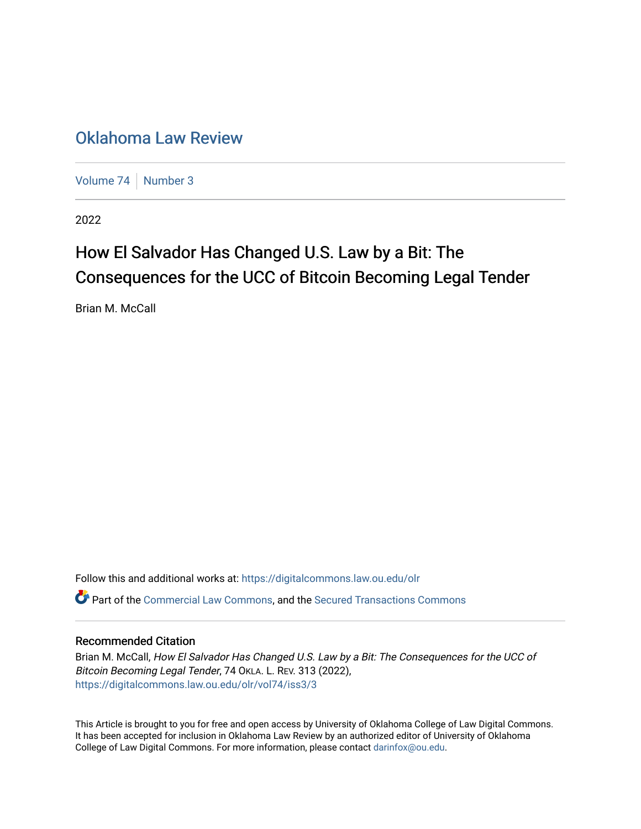## [Oklahoma Law Review](https://digitalcommons.law.ou.edu/olr)

[Volume 74](https://digitalcommons.law.ou.edu/olr/vol74) [Number 3](https://digitalcommons.law.ou.edu/olr/vol74/iss3)

2022

# How El Salvador Has Changed U.S. Law by a Bit: The Consequences for the UCC of Bitcoin Becoming Legal Tender

Brian M. McCall

Follow this and additional works at: [https://digitalcommons.law.ou.edu/olr](https://digitalcommons.law.ou.edu/olr?utm_source=digitalcommons.law.ou.edu%2Folr%2Fvol74%2Fiss3%2F3&utm_medium=PDF&utm_campaign=PDFCoverPages) Part of the [Commercial Law Commons](https://network.bepress.com/hgg/discipline/586?utm_source=digitalcommons.law.ou.edu%2Folr%2Fvol74%2Fiss3%2F3&utm_medium=PDF&utm_campaign=PDFCoverPages), and the [Secured Transactions Commons](https://network.bepress.com/hgg/discipline/876?utm_source=digitalcommons.law.ou.edu%2Folr%2Fvol74%2Fiss3%2F3&utm_medium=PDF&utm_campaign=PDFCoverPages)

#### Recommended Citation

Brian M. McCall, How El Salvador Has Changed U.S. Law by a Bit: The Consequences for the UCC of Bitcoin Becoming Legal Tender, 74 OKLA. L. REV. 313 (2022), [https://digitalcommons.law.ou.edu/olr/vol74/iss3/3](https://digitalcommons.law.ou.edu/olr/vol74/iss3/3?utm_source=digitalcommons.law.ou.edu%2Folr%2Fvol74%2Fiss3%2F3&utm_medium=PDF&utm_campaign=PDFCoverPages) 

This Article is brought to you for free and open access by University of Oklahoma College of Law Digital Commons. It has been accepted for inclusion in Oklahoma Law Review by an authorized editor of University of Oklahoma College of Law Digital Commons. For more information, please contact [darinfox@ou.edu.](mailto:darinfox@ou.edu)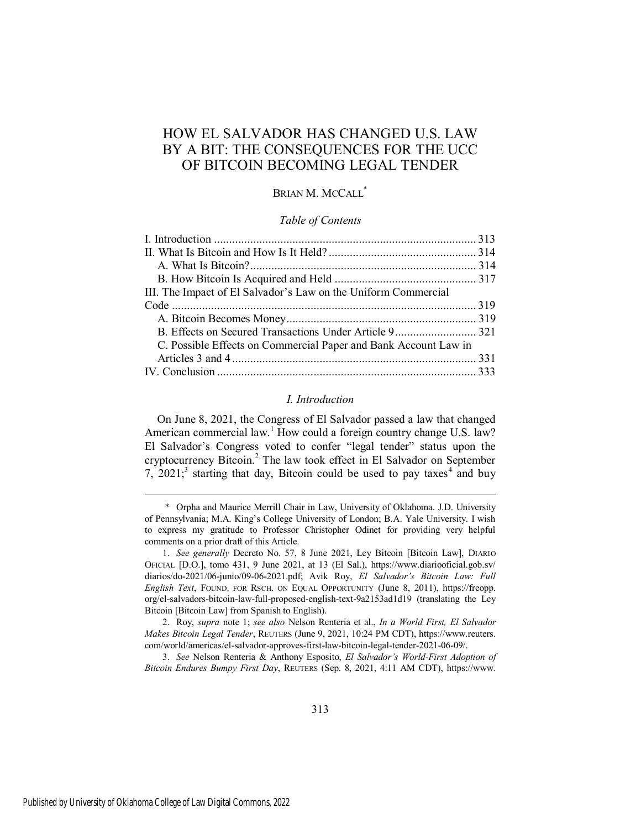### HOW EL SALVADOR HAS CHANGED U.S. LAW BY A BIT: THE CONSEQUENCES FOR THE UCC OF BITCOIN BECOMING LEGAL TENDER

#### BRIAN M. MCCALL<sup>\*</sup>

#### *Table of Contents*

#### *I. Introduction*

<span id="page-1-0"></span>On June 8, 2021, the Congress of El Salvador passed a law that changed American commercial law.<sup>1</sup> How could a foreign country change U.S. law? El Salvador's Congress voted to confer "legal tender" status upon the cryptocurrency Bitcoin.<sup>2</sup> The law took effect in El Salvador on September 7,  $2021$ <sup>3</sup> starting that day, Bitcoin could be used to pay taxes<sup>4</sup> and buy

 <sup>\*</sup> Orpha and Maurice Merrill Chair in Law, University of Oklahoma. J.D. University of Pennsylvania; M.A. King's College University of London; B.A. Yale University. I wish to express my gratitude to Professor Christopher Odinet for providing very helpful comments on a prior draft of this Article.

<sup>1.</sup> *See generally* Decreto No. 57, 8 June 2021, Ley Bitcoin [Bitcoin Law], DIARIO OFICIAL [D.O.], tomo 431, 9 June 2021, at 13 (El Sal.), https://www.diariooficial.gob.sv/ diarios/do-2021/06-junio/09-06-2021.pdf; Avik Roy, *El Salvador's Bitcoin Law: Full English Text*, FOUND. FOR RSCH. ON EQUAL OPPORTUNITY (June 8, 2011), https://freopp. org/el-salvadors-bitcoin-law-full-proposed-english-text-9a2153ad1d19 (translating the Ley Bitcoin [Bitcoin Law] from Spanish to English).

<sup>2.</sup> Roy, *supra* note 1; *see also* Nelson Renteria et al., *In a World First, El Salvador Makes Bitcoin Legal Tender*, REUTERS (June 9, 2021, 10:24 PM CDT), https://www.reuters. com/world/americas/el-salvador-approves-first-law-bitcoin-legal-tender-2021-06-09/.

<sup>3.</sup> *See* Nelson Renteria & Anthony Esposito, *El Salvador's World-First Adoption of Bitcoin Endures Bumpy First Day*, REUTERS (Sep. 8, 2021, 4:11 AM CDT), https://www.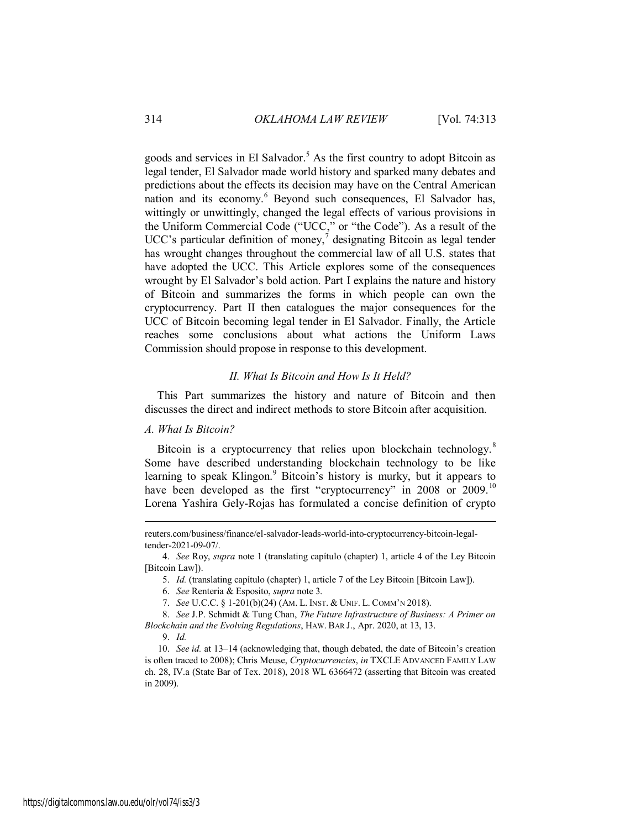goods and services in El Salvador.<sup>5</sup> As the first country to adopt Bitcoin as legal tender, El Salvador made world history and sparked many debates and predictions about the effects its decision may have on the Central American nation and its economy.<sup>6</sup> Beyond such consequences, El Salvador has, wittingly or unwittingly, changed the legal effects of various provisions in the Uniform Commercial Code ("UCC," or "the Code"). As a result of the UCC's particular definition of money,<sup>7</sup> designating Bitcoin as legal tender has wrought changes throughout the commercial law of all U.S. states that have adopted the UCC. This Article explores some of the consequences wrought by El Salvador's bold action. Part I explains the nature and history of Bitcoin and summarizes the forms in which people can own the cryptocurrency. Part II then catalogues the major consequences for the UCC of Bitcoin becoming legal tender in El Salvador. Finally, the Article reaches some conclusions about what actions the Uniform Laws Commission should propose in response to this development.

#### *II. What Is Bitcoin and How Is It Held?*

<span id="page-2-0"></span>This Part summarizes the history and nature of Bitcoin and then discusses the direct and indirect methods to store Bitcoin after acquisition.

#### <span id="page-2-1"></span>*A. What Is Bitcoin?*

Bitcoin is a cryptocurrency that relies upon blockchain technology.<sup>8</sup> Some have described understanding blockchain technology to be like learning to speak Klingon.<sup>9</sup> Bitcoin's history is murky, but it appears to have been developed as the first "cryptocurrency" in 2008 or 2009.<sup>10</sup> Lorena Yashira Gely-Rojas has formulated a concise definition of crypto

8. *See* J.P. Schmidt & Tung Chan, *The Future Infrastructure of Business: A Primer on Blockchain and the Evolving Regulations*, HAW. BAR J., Apr. 2020, at 13, 13.

reuters.com/business/finance/el-salvador-leads-world-into-cryptocurrency-bitcoin-legaltender-2021-09-07/.

<sup>4.</sup> *See* Roy, *supra* note 1 (translating capítulo (chapter) 1, article 4 of the Ley Bitcoin [Bitcoin Law]).

<sup>5.</sup> *Id.* (translating capítulo (chapter) 1, article 7 of the Ley Bitcoin [Bitcoin Law]).

<sup>6.</sup> *See* Renteria & Esposito, *supra* note 3.

<sup>7.</sup> *See* U.C.C. § 1-201(b)(24) (AM. L. INST. & UNIF. L. COMM'N 2018).

<sup>9.</sup> *Id.*

<sup>10.</sup> *See id.* at 13–14 (acknowledging that, though debated, the date of Bitcoin's creation is often traced to 2008); Chris Meuse, *Cryptocurrencies*, *in* TXCLE ADVANCED FAMILY LAW ch. 28, IV.a (State Bar of Tex. 2018), 2018 WL 6366472 (asserting that Bitcoin was created in 2009).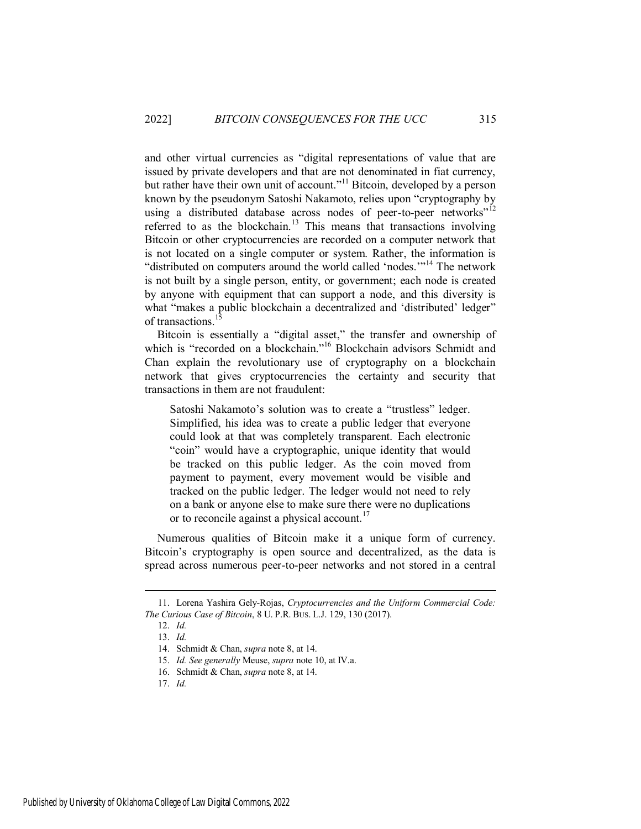and other virtual currencies as "digital representations of value that are issued by private developers and that are not denominated in fiat currency, but rather have their own unit of account."<sup>11</sup> Bitcoin, developed by a person known by the pseudonym Satoshi Nakamoto, relies upon "cryptography by using a distributed database across nodes of peer-to-peer networks"<sup>12</sup> referred to as the blockchain.<sup>13</sup> This means that transactions involving Bitcoin or other cryptocurrencies are recorded on a computer network that is not located on a single computer or system. Rather, the information is "distributed on computers around the world called 'nodes.'"<sup>14</sup> The network is not built by a single person, entity, or government; each node is created by anyone with equipment that can support a node, and this diversity is what "makes a public blockchain a decentralized and 'distributed' ledger" of transactions.<sup>1</sup>

Bitcoin is essentially a "digital asset," the transfer and ownership of which is "recorded on a blockchain."<sup>16</sup> Blockchain advisors Schmidt and Chan explain the revolutionary use of cryptography on a blockchain network that gives cryptocurrencies the certainty and security that transactions in them are not fraudulent:

Satoshi Nakamoto's solution was to create a "trustless" ledger. Simplified, his idea was to create a public ledger that everyone could look at that was completely transparent. Each electronic "coin" would have a cryptographic, unique identity that would be tracked on this public ledger. As the coin moved from payment to payment, every movement would be visible and tracked on the public ledger. The ledger would not need to rely on a bank or anyone else to make sure there were no duplications or to reconcile against a physical account.<sup>17</sup>

Numerous qualities of Bitcoin make it a unique form of currency. Bitcoin's cryptography is open source and decentralized, as the data is spread across numerous peer-to-peer networks and not stored in a central

<sup>11.</sup> Lorena Yashira Gely-Rojas, *Cryptocurrencies and the Uniform Commercial Code: The Curious Case of Bitcoin*, 8 U. P.R. BUS. L.J. 129, 130 (2017).

<sup>12.</sup> *Id.*

<sup>13.</sup> *Id.*

<sup>14.</sup> Schmidt & Chan, *supra* note 8, at 14.

<sup>15.</sup> *Id. See generally* Meuse, *supra* note 10, at IV.a.

<sup>16.</sup> Schmidt & Chan, *supra* note 8, at 14.

<sup>17.</sup> *Id.*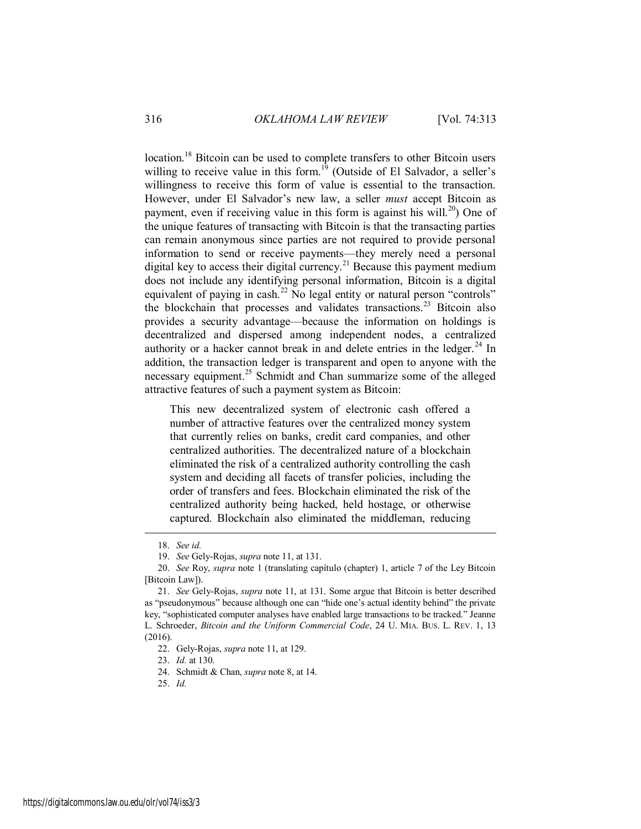location.<sup>18</sup> Bitcoin can be used to complete transfers to other Bitcoin users willing to receive value in this form.<sup>19</sup> (Outside of El Salvador, a seller's willingness to receive this form of value is essential to the transaction. However, under El Salvador's new law, a seller *must* accept Bitcoin as payment, even if receiving value in this form is against his will.<sup>20</sup> One of the unique features of transacting with Bitcoin is that the transacting parties can remain anonymous since parties are not required to provide personal information to send or receive payments—they merely need a personal digital key to access their digital currency.<sup>21</sup> Because this payment medium does not include any identifying personal information, Bitcoin is a digital equivalent of paying in cash.<sup>22</sup> No legal entity or natural person "controls" the blockchain that processes and validates transactions.<sup>23</sup> Bitcoin also provides a security advantage—because the information on holdings is decentralized and dispersed among independent nodes, a centralized authority or a hacker cannot break in and delete entries in the ledger.<sup>24</sup> In addition, the transaction ledger is transparent and open to anyone with the necessary equipment.<sup>25</sup> Schmidt and Chan summarize some of the alleged attractive features of such a payment system as Bitcoin:

This new decentralized system of electronic cash offered a number of attractive features over the centralized money system that currently relies on banks, credit card companies, and other centralized authorities. The decentralized nature of a blockchain eliminated the risk of a centralized authority controlling the cash system and deciding all facets of transfer policies, including the order of transfers and fees. Blockchain eliminated the risk of the centralized authority being hacked, held hostage, or otherwise captured. Blockchain also eliminated the middleman, reducing

<sup>18.</sup> *See id.*

<sup>19.</sup> *See* Gely-Rojas, *supra* note 11, at 131.

<sup>20.</sup> *See* Roy, *supra* note 1 (translating capítulo (chapter) 1, article 7 of the Ley Bitcoin [Bitcoin Law]).

<sup>21.</sup> *See* Gely-Rojas, *supra* note 11, at 131. Some argue that Bitcoin is better described as "pseudonymous" because although one can "hide one's actual identity behind" the private key, "sophisticated computer analyses have enabled large transactions to be tracked." Jeanne L. Schroeder, *Bitcoin and the Uniform Commercial Code*, 24 U. MIA. BUS. L. REV. 1, 13 (2016).

<sup>22.</sup> Gely-Rojas, *supra* note 11, at 129.

<sup>23.</sup> *Id.* at 130.

<sup>24.</sup> Schmidt & Chan, *supra* note 8, at 14.

<sup>25.</sup> *Id.*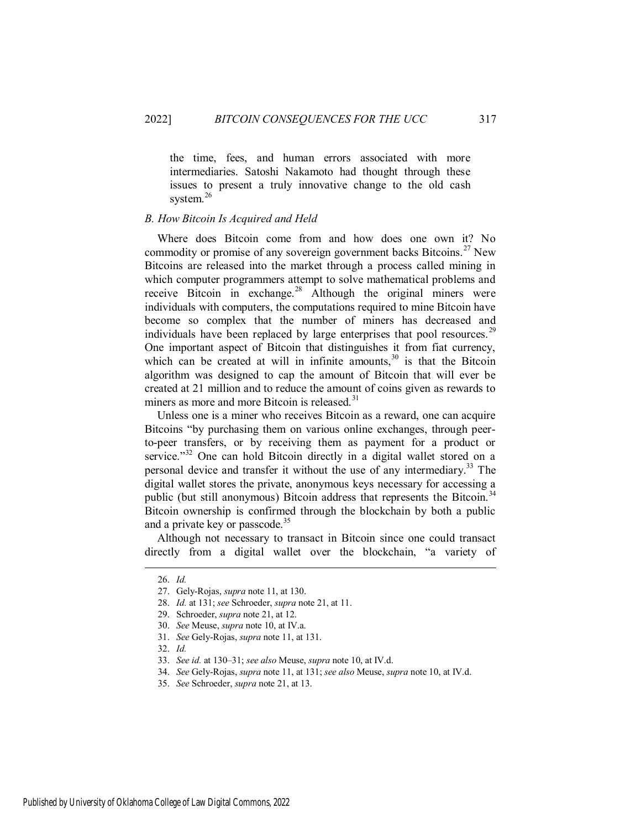the time, fees, and human errors associated with more intermediaries. Satoshi Nakamoto had thought through these issues to present a truly innovative change to the old cash system.<sup>26</sup>

#### <span id="page-5-0"></span>*B. How Bitcoin Is Acquired and Held*

Where does Bitcoin come from and how does one own it? No commodity or promise of any sovereign government backs Bitcoins.<sup>27</sup> New Bitcoins are released into the market through a process called mining in which computer programmers attempt to solve mathematical problems and receive Bitcoin in exchange.<sup>28</sup> Although the original miners were individuals with computers, the computations required to mine Bitcoin have become so complex that the number of miners has decreased and individuals have been replaced by large enterprises that pool resources.<sup>29</sup> One important aspect of Bitcoin that distinguishes it from fiat currency, which can be created at will in infinite amounts,  $30$  is that the Bitcoin algorithm was designed to cap the amount of Bitcoin that will ever be created at 21 million and to reduce the amount of coins given as rewards to miners as more and more Bitcoin is released.<sup>31</sup>

Unless one is a miner who receives Bitcoin as a reward, one can acquire Bitcoins "by purchasing them on various online exchanges, through peerto-peer transfers, or by receiving them as payment for a product or service."<sup>32</sup> One can hold Bitcoin directly in a digital wallet stored on a personal device and transfer it without the use of any intermediary. <sup>33</sup> The digital wallet stores the private, anonymous keys necessary for accessing a public (but still anonymous) Bitcoin address that represents the Bitcoin.<sup>34</sup> Bitcoin ownership is confirmed through the blockchain by both a public and a private key or passcode.<sup>35</sup>

Although not necessary to transact in Bitcoin since one could transact directly from a digital wallet over the blockchain, "a variety of

 $\overline{a}$ 

Published by University of Oklahoma College of Law Digital Commons, 2022

<sup>26.</sup> *Id.* 

<sup>27.</sup> Gely-Rojas, *supra* note 11, at 130.

<sup>28.</sup> *Id.* at 131; *see* Schroeder, *supra* note 21, at 11.

<sup>29.</sup> Schroeder, *supra* note 21, at 12.

<sup>30.</sup> *See* Meuse, *supra* note 10, at IV.a.

<sup>31.</sup> *See* Gely-Rojas, *supra* note 11, at 131.

<sup>32.</sup> *Id.*

<sup>33.</sup> *See id.* at 130–31; *see also* Meuse, *supra* note 10, at IV.d.

<sup>34.</sup> *See* Gely-Rojas, *supra* note 11, at 131; *see also* Meuse, *supra* note 10, at IV.d.

<sup>35.</sup> *See* Schroeder, *supra* note 21, at 13.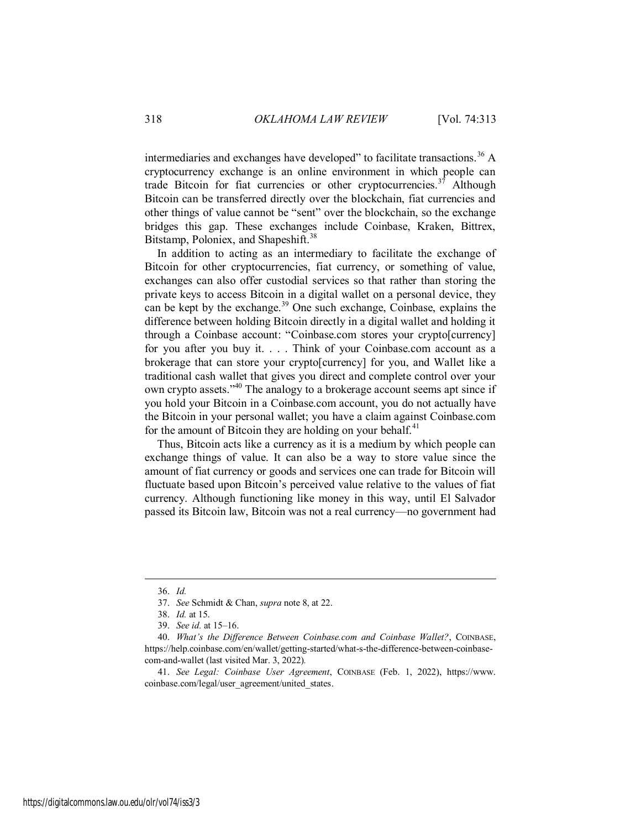intermediaries and exchanges have developed" to facilitate transactions.<sup>36</sup> A cryptocurrency exchange is an online environment in which people can trade Bitcoin for fiat currencies or other cryptocurrencies.<sup>37</sup> Although Bitcoin can be transferred directly over the blockchain, fiat currencies and other things of value cannot be "sent" over the blockchain, so the exchange bridges this gap. These exchanges include Coinbase, Kraken, Bittrex, Bitstamp, Poloniex, and Shapeshift.<sup>38</sup>

In addition to acting as an intermediary to facilitate the exchange of Bitcoin for other cryptocurrencies, fiat currency, or something of value, exchanges can also offer custodial services so that rather than storing the private keys to access Bitcoin in a digital wallet on a personal device, they can be kept by the exchange.<sup>39</sup> One such exchange, Coinbase, explains the difference between holding Bitcoin directly in a digital wallet and holding it through a Coinbase account: "Coinbase.com stores your crypto[currency] for you after you buy it. . . . Think of your Coinbase.com account as a brokerage that can store your crypto[currency] for you, and Wallet like a traditional cash wallet that gives you direct and complete control over your own crypto assets."<sup>40</sup> The analogy to a brokerage account seems apt since if you hold your Bitcoin in a Coinbase.com account, you do not actually have the Bitcoin in your personal wallet; you have a claim against Coinbase.com for the amount of Bitcoin they are holding on your behalf.<sup>41</sup>

Thus, Bitcoin acts like a currency as it is a medium by which people can exchange things of value. It can also be a way to store value since the amount of fiat currency or goods and services one can trade for Bitcoin will fluctuate based upon Bitcoin's perceived value relative to the values of fiat currency. Although functioning like money in this way, until El Salvador passed its Bitcoin law, Bitcoin was not a real currency—no government had

<sup>36.</sup> *Id.*

<sup>37.</sup> *See* Schmidt & Chan, *supra* note 8, at 22.

<sup>38.</sup> *Id.* at 15.

<sup>39.</sup> *See id.* at 15–16.

<sup>40.</sup> *What's the Difference Between Coinbase.com and Coinbase Wallet?*, COINBASE, https://help.coinbase.com/en/wallet/getting-started/what-s-the-difference-between-coinbasecom-and-wallet (last visited Mar. 3, 2022)*.*

<sup>41.</sup> *See Legal: Coinbase User Agreement*, COINBASE (Feb. 1, 2022), https://www. coinbase.com/legal/user\_agreement/united\_states.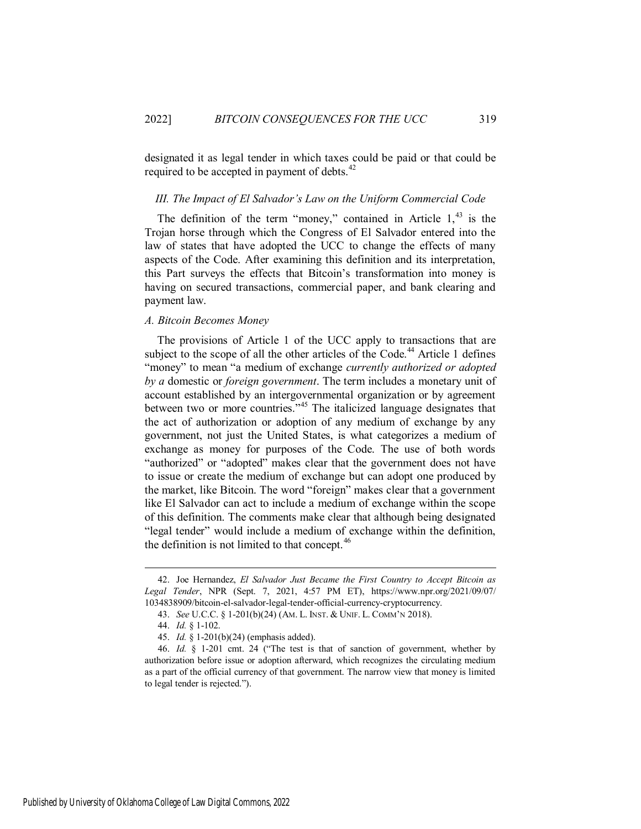designated it as legal tender in which taxes could be paid or that could be required to be accepted in payment of debts.<sup>42</sup>

#### <span id="page-7-0"></span>*III. The Impact of El Salvador's Law on the Uniform Commercial Code*

The definition of the term "money," contained in Article  $1<sup>43</sup>$  is the Trojan horse through which the Congress of El Salvador entered into the law of states that have adopted the UCC to change the effects of many aspects of the Code. After examining this definition and its interpretation, this Part surveys the effects that Bitcoin's transformation into money is having on secured transactions, commercial paper, and bank clearing and payment law.

#### <span id="page-7-1"></span>*A. Bitcoin Becomes Money*

The provisions of Article 1 of the UCC apply to transactions that are subject to the scope of all the other articles of the Code.<sup>44</sup> Article 1 defines "money" to mean "a medium of exchange *currently authorized or adopted by a* domestic or *foreign government*. The term includes a monetary unit of account established by an intergovernmental organization or by agreement between two or more countries."<sup>45</sup> The italicized language designates that the act of authorization or adoption of any medium of exchange by any government, not just the United States, is what categorizes a medium of exchange as money for purposes of the Code. The use of both words "authorized" or "adopted" makes clear that the government does not have to issue or create the medium of exchange but can adopt one produced by the market, like Bitcoin. The word "foreign" makes clear that a government like El Salvador can act to include a medium of exchange within the scope of this definition. The comments make clear that although being designated "legal tender" would include a medium of exchange within the definition, the definition is not limited to that concept. $46$ 

<sup>42.</sup> Joe Hernandez, *El Salvador Just Became the First Country to Accept Bitcoin as Legal Tender*, NPR (Sept. 7, 2021, 4:57 PM ET), https://www.npr.org/2021/09/07/ 1034838909/bitcoin-el-salvador-legal-tender-official-currency-cryptocurrency.

<sup>43.</sup> *See* U.C.C. § 1-201(b)(24) (AM. L. INST. & UNIF. L. COMM'N 2018).

<sup>44.</sup> *Id.* § 1-102.

<sup>45.</sup> *Id.* § 1-201(b)(24) (emphasis added).

<sup>46.</sup> *Id.* § 1-201 cmt. 24 ("The test is that of sanction of government, whether by authorization before issue or adoption afterward, which recognizes the circulating medium as a part of the official currency of that government. The narrow view that money is limited to legal tender is rejected.").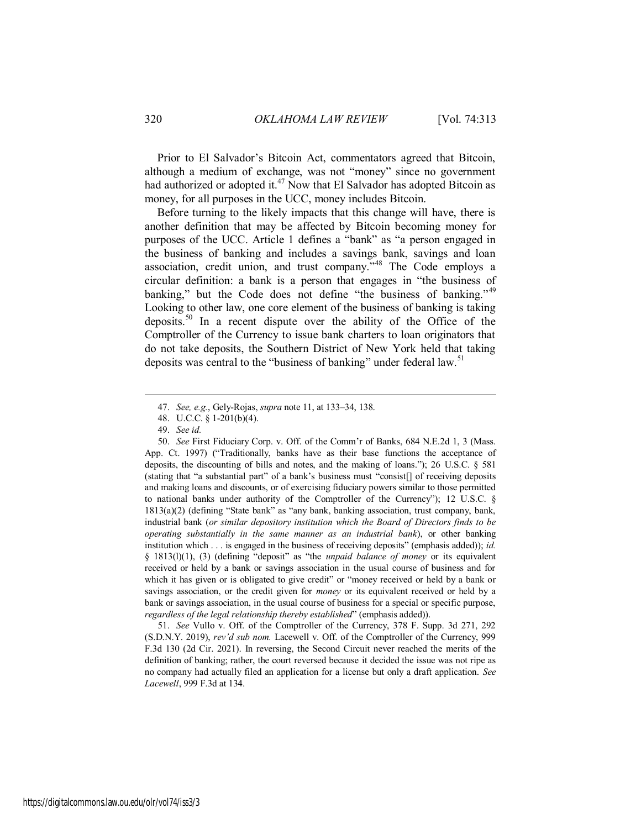Prior to El Salvador's Bitcoin Act, commentators agreed that Bitcoin, although a medium of exchange, was not "money" since no government had authorized or adopted it.<sup>47</sup> Now that El Salvador has adopted Bitcoin as money, for all purposes in the UCC, money includes Bitcoin.

Before turning to the likely impacts that this change will have, there is another definition that may be affected by Bitcoin becoming money for purposes of the UCC. Article 1 defines a "bank" as "a person engaged in the business of banking and includes a savings bank, savings and loan association, credit union, and trust company."<sup>48</sup> The Code employs a circular definition: a bank is a person that engages in "the business of banking," but the Code does not define "the business of banking."<sup>49</sup> Looking to other law, one core element of the business of banking is taking deposits.<sup>50</sup> In a recent dispute over the ability of the Office of the Comptroller of the Currency to issue bank charters to loan originators that do not take deposits, the Southern District of New York held that taking deposits was central to the "business of banking" under federal law.<sup>51</sup>

 $\overline{a}$ 

51. *See* Vullo v. Off. of the Comptroller of the Currency, 378 F. Supp. 3d 271, 292 (S.D.N.Y. 2019), *rev'd sub nom.* Lacewell v. Off. of the Comptroller of the Currency, 999 F.3d 130 (2d Cir. 2021). In reversing, the Second Circuit never reached the merits of the definition of banking; rather, the court reversed because it decided the issue was not ripe as no company had actually filed an application for a license but only a draft application. *See Lacewell*, 999 F.3d at 134.

<sup>47.</sup> *See, e.g.*, Gely-Rojas, *supra* note 11, at 133–34, 138.

<sup>48.</sup> U.C.C. § 1-201(b)(4).

<sup>49.</sup> *See id.* 

<sup>50.</sup> *See* First Fiduciary Corp. v. Off. of the Comm'r of Banks, 684 N.E.2d 1, 3 (Mass. App. Ct. 1997) ("Traditionally, banks have as their base functions the acceptance of deposits, the discounting of bills and notes, and the making of loans."); 26 U.S.C. § 581 (stating that "a substantial part" of a bank's business must "consist[] of receiving deposits and making loans and discounts, or of exercising fiduciary powers similar to those permitted to national banks under authority of the Comptroller of the Currency"); 12 U.S.C. § 1813(a)(2) (defining "State bank" as "any bank, banking association, trust company, bank, industrial bank (*or similar depository institution which the Board of Directors finds to be operating substantially in the same manner as an industrial bank*), or other banking institution which . . . is engaged in the business of receiving deposits" (emphasis added)); *id.* § 1813(l)(1), (3) (defining "deposit" as "the *unpaid balance of money* or its equivalent received or held by a bank or savings association in the usual course of business and for which it has given or is obligated to give credit" or "money received or held by a bank or savings association, or the credit given for *money* or its equivalent received or held by a bank or savings association, in the usual course of business for a special or specific purpose, *regardless of the legal relationship thereby established*" (emphasis added)).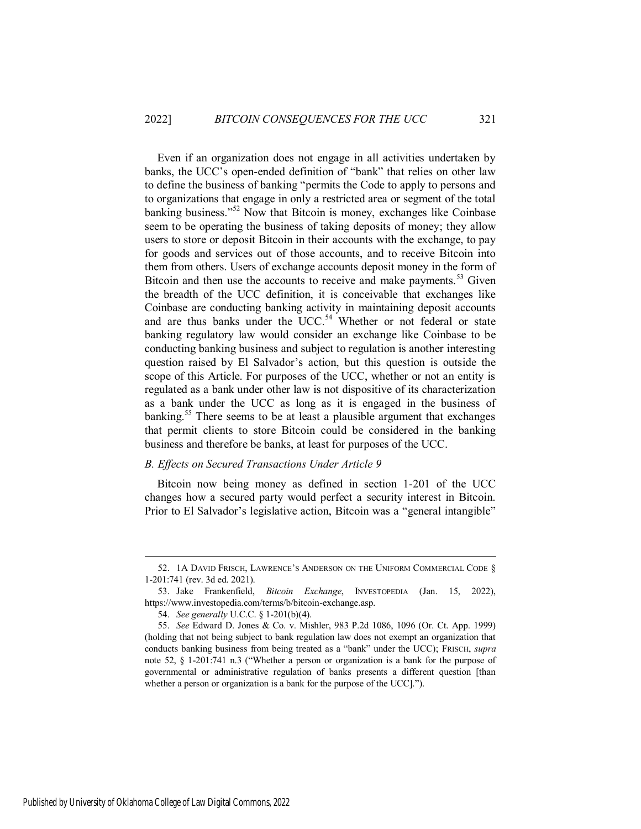Even if an organization does not engage in all activities undertaken by banks, the UCC's open-ended definition of "bank" that relies on other law to define the business of banking "permits the Code to apply to persons and to organizations that engage in only a restricted area or segment of the total banking business."<sup>52</sup> Now that Bitcoin is money, exchanges like Coinbase seem to be operating the business of taking deposits of money; they allow users to store or deposit Bitcoin in their accounts with the exchange, to pay for goods and services out of those accounts, and to receive Bitcoin into them from others. Users of exchange accounts deposit money in the form of Bitcoin and then use the accounts to receive and make payments.<sup>53</sup> Given the breadth of the UCC definition, it is conceivable that exchanges like Coinbase are conducting banking activity in maintaining deposit accounts and are thus banks under the  $UCC$ .<sup>54</sup> Whether or not federal or state banking regulatory law would consider an exchange like Coinbase to be conducting banking business and subject to regulation is another interesting question raised by El Salvador's action, but this question is outside the scope of this Article. For purposes of the UCC, whether or not an entity is regulated as a bank under other law is not dispositive of its characterization as a bank under the UCC as long as it is engaged in the business of banking.<sup>55</sup> There seems to be at least a plausible argument that exchanges that permit clients to store Bitcoin could be considered in the banking business and therefore be banks, at least for purposes of the UCC.

#### <span id="page-9-0"></span>*B. Effects on Secured Transactions Under Article 9*

Bitcoin now being money as defined in section 1-201 of the UCC changes how a secured party would perfect a security interest in Bitcoin. Prior to El Salvador's legislative action, Bitcoin was a "general intangible"

Published by University of Oklahoma College of Law Digital Commons, 2022

<sup>52. 1</sup>A DAVID FRISCH, LAWRENCE'S ANDERSON ON THE UNIFORM COMMERCIAL CODE § 1-201:741 (rev. 3d ed. 2021).

<sup>53.</sup> Jake Frankenfield, *Bitcoin Exchange*, INVESTOPEDIA (Jan. 15, 2022), https://www.investopedia.com/terms/b/bitcoin-exchange.asp.

<sup>54.</sup> *See generally* U.C.C. § 1-201(b)(4).

<sup>55.</sup> *See* Edward D. Jones & Co. v. Mishler, 983 P.2d 1086, 1096 (Or. Ct. App. 1999) (holding that not being subject to bank regulation law does not exempt an organization that conducts banking business from being treated as a "bank" under the UCC); FRISCH, *supra* note 52, § 1-201:741 n.3 ("Whether a person or organization is a bank for the purpose of governmental or administrative regulation of banks presents a different question [than whether a person or organization is a bank for the purpose of the UCC].").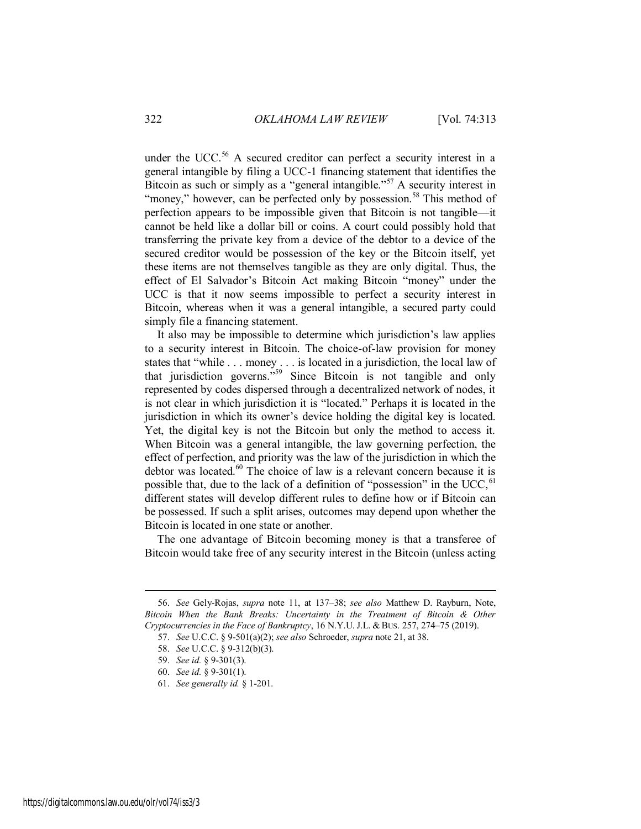under the UCC.<sup>56</sup> A secured creditor can perfect a security interest in a general intangible by filing a UCC-1 financing statement that identifies the Bitcoin as such or simply as a "general intangible."<sup>57</sup> A security interest in "money," however, can be perfected only by possession.<sup>58</sup> This method of perfection appears to be impossible given that Bitcoin is not tangible—it cannot be held like a dollar bill or coins. A court could possibly hold that transferring the private key from a device of the debtor to a device of the secured creditor would be possession of the key or the Bitcoin itself, yet these items are not themselves tangible as they are only digital. Thus, the effect of El Salvador's Bitcoin Act making Bitcoin "money" under the UCC is that it now seems impossible to perfect a security interest in Bitcoin, whereas when it was a general intangible, a secured party could simply file a financing statement.

It also may be impossible to determine which jurisdiction's law applies to a security interest in Bitcoin. The choice-of-law provision for money states that "while . . . money . . . is located in a jurisdiction, the local law of that jurisdiction governs."<sup>59</sup> Since Bitcoin is not tangible and only represented by codes dispersed through a decentralized network of nodes, it is not clear in which jurisdiction it is "located." Perhaps it is located in the jurisdiction in which its owner's device holding the digital key is located. Yet, the digital key is not the Bitcoin but only the method to access it. When Bitcoin was a general intangible, the law governing perfection, the effect of perfection, and priority was the law of the jurisdiction in which the debtor was located. $60$  The choice of law is a relevant concern because it is possible that, due to the lack of a definition of "possession" in the UCC,  $61$ different states will develop different rules to define how or if Bitcoin can be possessed. If such a split arises, outcomes may depend upon whether the Bitcoin is located in one state or another.

The one advantage of Bitcoin becoming money is that a transferee of Bitcoin would take free of any security interest in the Bitcoin (unless acting

<sup>56.</sup> *See* Gely-Rojas, *supra* note 11, at 137–38; *see also* Matthew D. Rayburn, Note, *Bitcoin When the Bank Breaks: Uncertainty in the Treatment of Bitcoin & Other Cryptocurrencies in the Face of Bankruptcy*, 16 N.Y.U. J.L. & BUS. 257, 274–75 (2019).

<sup>57.</sup> *See* U.C.C. § 9-501(a)(2); *see also* Schroeder, *supra* note 21, at 38.

<sup>58.</sup> *See* U.C.C. § 9-312(b)(3).

<sup>59.</sup> *See id.* § 9-301(3).

<sup>60.</sup> *See id.* § 9-301(1).

<sup>61.</sup> *See generally id.* § 1-201.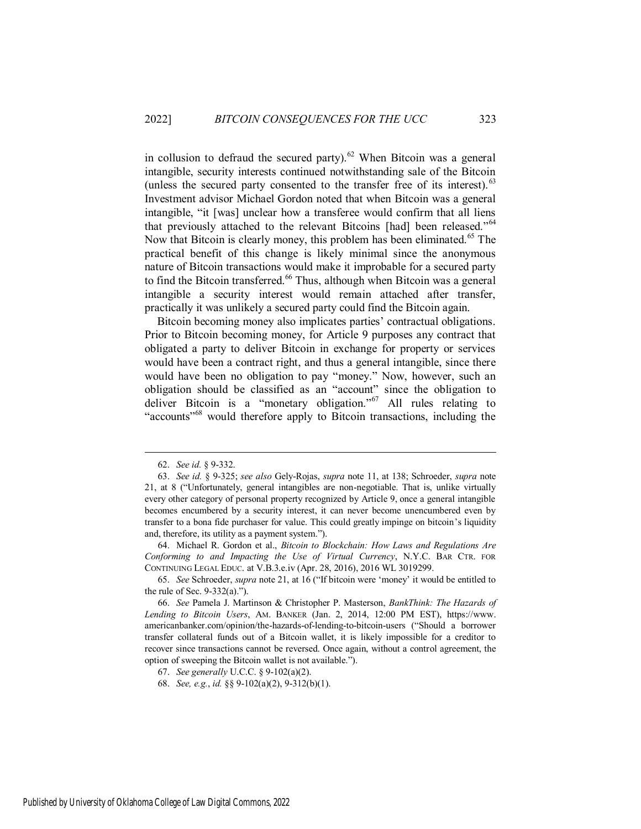in collusion to defraud the secured party).<sup>62</sup> When Bitcoin was a general intangible, security interests continued notwithstanding sale of the Bitcoin (unless the secured party consented to the transfer free of its interest). $^{63}$ Investment advisor Michael Gordon noted that when Bitcoin was a general intangible, "it [was] unclear how a transferee would confirm that all liens that previously attached to the relevant Bitcoins [had] been released."<sup>64</sup> Now that Bitcoin is clearly money, this problem has been eliminated.<sup>65</sup> The practical benefit of this change is likely minimal since the anonymous nature of Bitcoin transactions would make it improbable for a secured party to find the Bitcoin transferred.<sup>66</sup> Thus, although when Bitcoin was a general intangible a security interest would remain attached after transfer, practically it was unlikely a secured party could find the Bitcoin again.

Bitcoin becoming money also implicates parties' contractual obligations. Prior to Bitcoin becoming money, for Article 9 purposes any contract that obligated a party to deliver Bitcoin in exchange for property or services would have been a contract right, and thus a general intangible, since there would have been no obligation to pay "money." Now, however, such an obligation should be classified as an "account" since the obligation to deliver Bitcoin is a "monetary obligation."<sup>67</sup> All rules relating to "accounts<sup>"68</sup> would therefore apply to Bitcoin transactions, including the

<sup>62.</sup> *See id.* § 9-332.

<sup>63.</sup> *See id.* § 9-325; *see also* Gely-Rojas, *supra* note 11, at 138; Schroeder, *supra* note 21, at 8 ("Unfortunately, general intangibles are non-negotiable. That is, unlike virtually every other category of personal property recognized by Article 9, once a general intangible becomes encumbered by a security interest, it can never become unencumbered even by transfer to a bona fide purchaser for value. This could greatly impinge on bitcoin's liquidity and, therefore, its utility as a payment system.").

<sup>64.</sup> Michael R. Gordon et al., *Bitcoin to Blockchain: How Laws and Regulations Are Conforming to and Impacting the Use of Virtual Currency*, N.Y.C. BAR CTR. FOR CONTINUING LEGAL EDUC. at V.B.3.e.iv (Apr. 28, 2016), 2016 WL 3019299.

<sup>65.</sup> *See* Schroeder, *supra* note 21, at 16 ("If bitcoin were 'money' it would be entitled to the rule of Sec.  $9-332(a)$ .").

<sup>66.</sup> *See* Pamela J. Martinson & Christopher P. Masterson, *BankThink: The Hazards of Lending to Bitcoin Users*, AM. BANKER (Jan. 2, 2014, 12:00 PM EST), https://www. americanbanker.com/opinion/the-hazards-of-lending-to-bitcoin-users ("Should a borrower transfer collateral funds out of a Bitcoin wallet, it is likely impossible for a creditor to recover since transactions cannot be reversed. Once again, without a control agreement, the option of sweeping the Bitcoin wallet is not available.").

<sup>67.</sup> *See generally* U.C.C. § 9-102(a)(2).

<sup>68.</sup> *See, e.g.*, *id.* §§ 9-102(a)(2), 9-312(b)(1).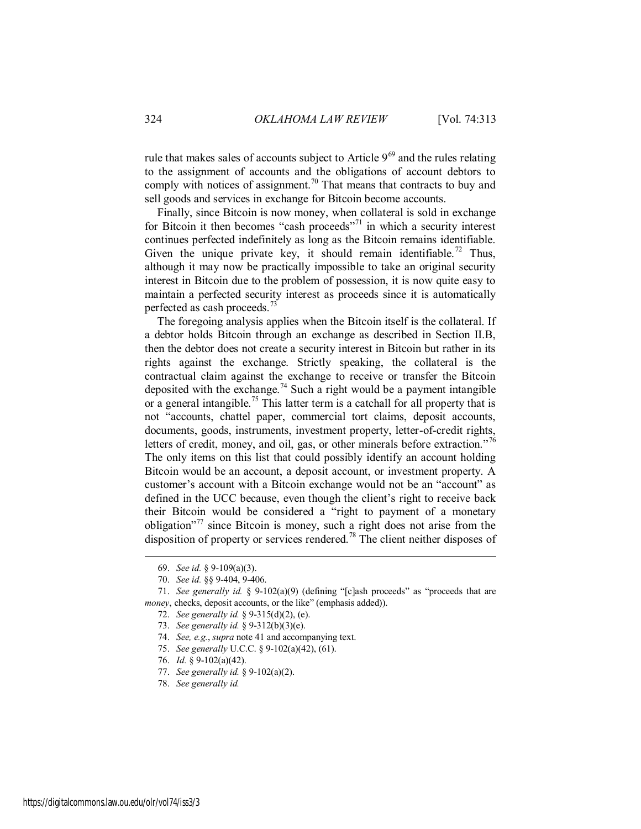rule that makes sales of accounts subject to Article  $9^{69}$  and the rules relating to the assignment of accounts and the obligations of account debtors to comply with notices of assignment.<sup>70</sup> That means that contracts to buy and sell goods and services in exchange for Bitcoin become accounts.

Finally, since Bitcoin is now money, when collateral is sold in exchange for Bitcoin it then becomes "cash proceeds"<sup>71</sup> in which a security interest continues perfected indefinitely as long as the Bitcoin remains identifiable. Given the unique private key, it should remain identifiable.<sup>72</sup> Thus, although it may now be practically impossible to take an original security interest in Bitcoin due to the problem of possession, it is now quite easy to maintain a perfected security interest as proceeds since it is automatically perfected as cash proceeds.<sup>73</sup>

The foregoing analysis applies when the Bitcoin itself is the collateral. If a debtor holds Bitcoin through an exchange as described in Section II.B, then the debtor does not create a security interest in Bitcoin but rather in its rights against the exchange. Strictly speaking, the collateral is the contractual claim against the exchange to receive or transfer the Bitcoin deposited with the exchange.<sup>74</sup> Such a right would be a payment intangible or a general intangible.<sup>75</sup> This latter term is a catchall for all property that is not "accounts, chattel paper, commercial tort claims, deposit accounts, documents, goods, instruments, investment property, letter-of-credit rights, letters of credit, money, and oil, gas, or other minerals before extraction."<sup>76</sup> The only items on this list that could possibly identify an account holding Bitcoin would be an account, a deposit account, or investment property. A customer's account with a Bitcoin exchange would not be an "account" as defined in the UCC because, even though the client's right to receive back their Bitcoin would be considered a "right to payment of a monetary obligation"<sup>77</sup> since Bitcoin is money, such a right does not arise from the disposition of property or services rendered.<sup>78</sup> The client neither disposes of

- 73. *See generally id.* § 9-312(b)(3)(e).
- 74. *See, e.g.*, *supra* note 41 and accompanying text.
- 75. *See generally* U.C.C. § 9-102(a)(42), (61).
- 76. *Id.* § 9-102(a)(42).
- 77. *See generally id.* § 9-102(a)(2).
- 78. *See generally id.*

<sup>69.</sup> *See id.* § 9-109(a)(3).

<sup>70.</sup> *See id.* §§ 9-404, 9-406.

<sup>71.</sup> *See generally id.* § 9-102(a)(9) (defining "[c]ash proceeds" as "proceeds that are *money*, checks, deposit accounts, or the like" (emphasis added)).

<sup>72.</sup> *See generally id.* § 9-315(d)(2), (e).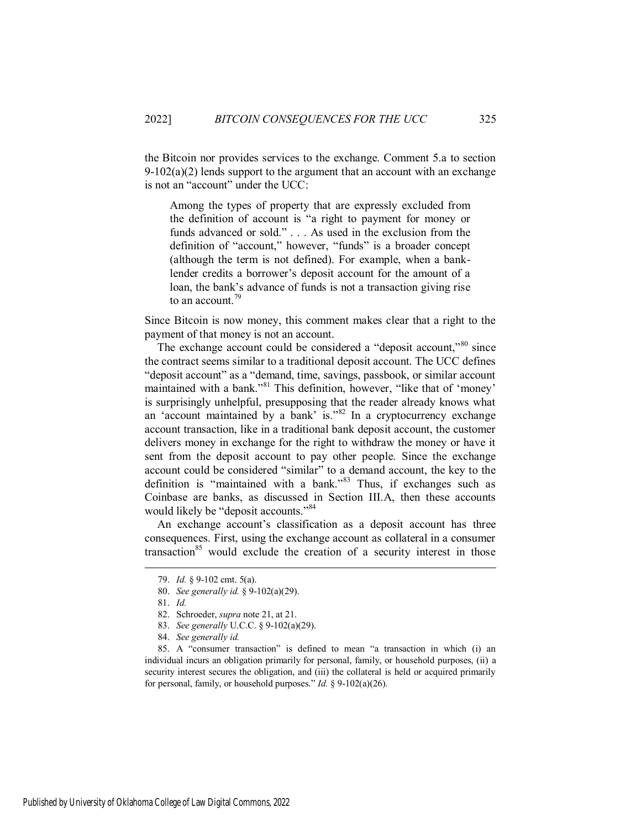the Bitcoin nor provides services to the exchange. Comment 5.a to section  $9-102(a)(2)$  lends support to the argument that an account with an exchange is not an "account" under the UCC:

Among the types of property that are expressly excluded from the definition of account is "a right to payment for money or funds advanced or sold." . . . As used in the exclusion from the definition of "account," however, "funds" is a broader concept (although the term is not defined). For example, when a banklender credits a borrower's deposit account for the amount of a loan, the bank's advance of funds is not a transaction giving rise to an account.<sup>79</sup>

Since Bitcoin is now money, this comment makes clear that a right to the payment of that money is not an account.

The exchange account could be considered a "deposit account,"<sup>80</sup> since the contract seems similar to a traditional deposit account. The UCC defines "deposit account" as a "demand, time, savings, passbook, or similar account maintained with a bank."<sup>81</sup> This definition, however, "like that of 'money' is surprisingly unhelpful, presupposing that the reader already knows what an 'account maintained by a bank' is."<sup>82</sup> In a cryptocurrency exchange account transaction, like in a traditional bank deposit account, the customer delivers money in exchange for the right to withdraw the money or have it sent from the deposit account to pay other people. Since the exchange account could be considered "similar" to a demand account, the key to the definition is "maintained with a bank."<sup>83</sup> Thus, if exchanges such as Coinbase are banks, as discussed in Section III.A, then these accounts would likely be "deposit accounts."<sup>84</sup>

An exchange account's classification as a deposit account has three consequences. First, using the exchange account as collateral in a consumer transaction<sup>85</sup> would exclude the creation of a security interest in those

 $\overline{a}$ 

Published by University of Oklahoma College of Law Digital Commons, 2022

<sup>79.</sup> *Id.* § 9-102 cmt. 5(a).

<sup>80.</sup> *See generally id.* § 9-102(a)(29).

<sup>81.</sup> *Id.*

<sup>82.</sup> Schroeder, *supra* note 21, at 21.

<sup>83.</sup> *See generally* U.C.C. § 9-102(a)(29).

<sup>84.</sup> *See generally id.*

<sup>85.</sup> A "consumer transaction" is defined to mean "a transaction in which (i) an individual incurs an obligation primarily for personal, family, or household purposes, (ii) a security interest secures the obligation, and (iii) the collateral is held or acquired primarily for personal, family, or household purposes." *Id.* § 9-102(a)(26).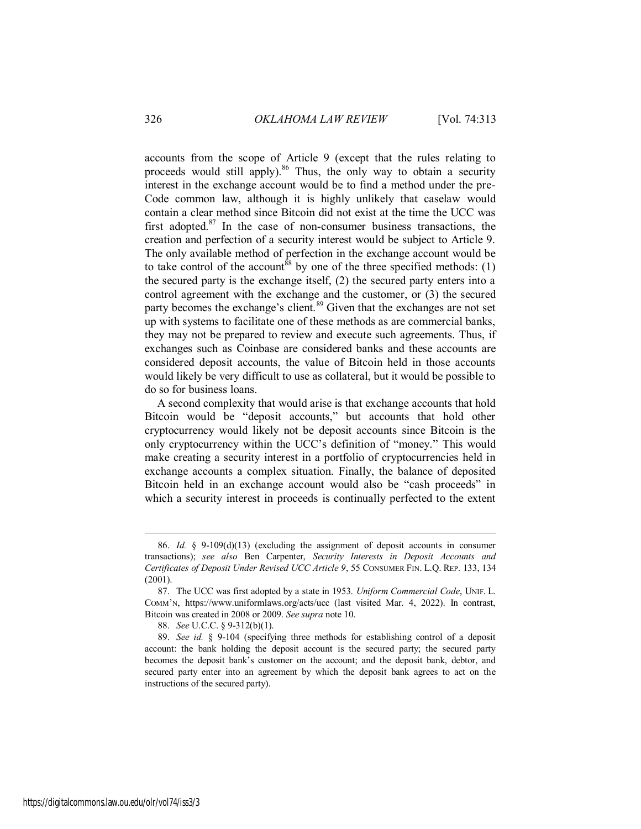accounts from the scope of Article 9 (except that the rules relating to proceeds would still apply).<sup>86</sup> Thus, the only way to obtain a security interest in the exchange account would be to find a method under the pre-Code common law, although it is highly unlikely that caselaw would contain a clear method since Bitcoin did not exist at the time the UCC was first adopted.<sup>87</sup> In the case of non-consumer business transactions, the creation and perfection of a security interest would be subject to Article 9. The only available method of perfection in the exchange account would be to take control of the account<sup>88</sup> by one of the three specified methods: (1) the secured party is the exchange itself, (2) the secured party enters into a control agreement with the exchange and the customer, or (3) the secured party becomes the exchange's client.<sup>89</sup> Given that the exchanges are not set up with systems to facilitate one of these methods as are commercial banks, they may not be prepared to review and execute such agreements. Thus, if exchanges such as Coinbase are considered banks and these accounts are considered deposit accounts, the value of Bitcoin held in those accounts would likely be very difficult to use as collateral, but it would be possible to do so for business loans.

A second complexity that would arise is that exchange accounts that hold Bitcoin would be "deposit accounts," but accounts that hold other cryptocurrency would likely not be deposit accounts since Bitcoin is the only cryptocurrency within the UCC's definition of "money." This would make creating a security interest in a portfolio of cryptocurrencies held in exchange accounts a complex situation. Finally, the balance of deposited Bitcoin held in an exchange account would also be "cash proceeds" in which a security interest in proceeds is continually perfected to the extent

<sup>86.</sup> *Id.* § 9-109(d)(13) (excluding the assignment of deposit accounts in consumer transactions); *see also* Ben Carpenter, *Security Interests in Deposit Accounts and Certificates of Deposit Under Revised UCC Article 9*, 55 CONSUMER FIN. L.Q. REP. 133, 134 (2001).

<sup>87.</sup> The UCC was first adopted by a state in 1953. *Uniform Commercial Code*, UNIF. L. COMM'N, https://www.uniformlaws.org/acts/ucc (last visited Mar. 4, 2022). In contrast, Bitcoin was created in 2008 or 2009. *See supra* note 10.

<sup>88.</sup> *See* U.C.C. § 9-312(b)(1).

<sup>89.</sup> *See id.* § 9-104 (specifying three methods for establishing control of a deposit account: the bank holding the deposit account is the secured party; the secured party becomes the deposit bank's customer on the account; and the deposit bank, debtor, and secured party enter into an agreement by which the deposit bank agrees to act on the instructions of the secured party).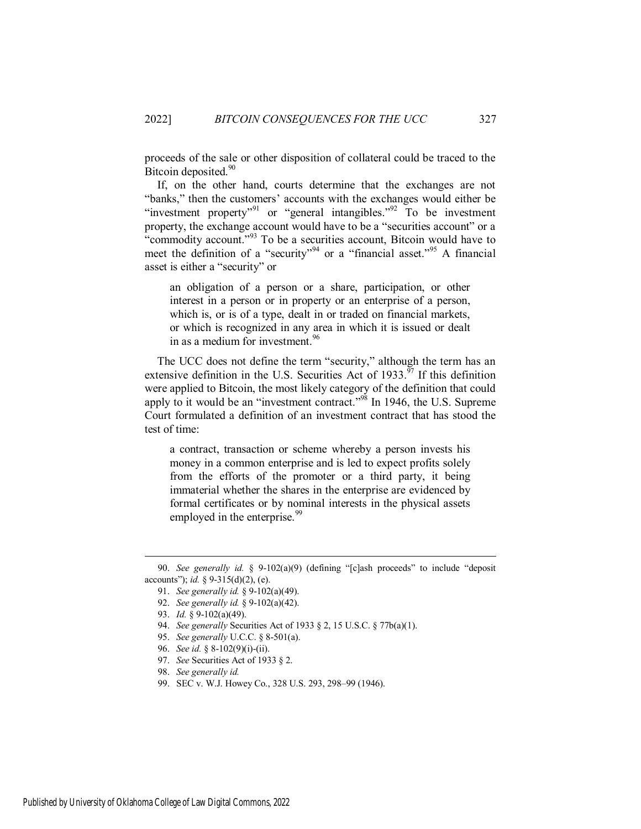proceeds of the sale or other disposition of collateral could be traced to the Bitcoin deposited.<sup>90</sup>

If, on the other hand, courts determine that the exchanges are not "banks," then the customers' accounts with the exchanges would either be "investment property"<sup>91</sup> or "general intangibles."<sup>92</sup> To be investment property, the exchange account would have to be a "securities account" or a "commodity account."<sup>93</sup> To be a securities account, Bitcoin would have to meet the definition of a "security"<sup>94</sup> or a "financial asset."<sup>95</sup> A financial asset is either a "security" or

an obligation of a person or a share, participation, or other interest in a person or in property or an enterprise of a person, which is, or is of a type, dealt in or traded on financial markets, or which is recognized in any area in which it is issued or dealt in as a medium for investment.<sup>96</sup>

The UCC does not define the term "security," although the term has an extensive definition in the U.S. Securities Act of  $1933.^{97}$  If this definition were applied to Bitcoin, the most likely category of the definition that could apply to it would be an "investment contract."<sup>98</sup> In 1946, the U.S. Supreme Court formulated a definition of an investment contract that has stood the test of time:

a contract, transaction or scheme whereby a person invests his money in a common enterprise and is led to expect profits solely from the efforts of the promoter or a third party, it being immaterial whether the shares in the enterprise are evidenced by formal certificates or by nominal interests in the physical assets employed in the enterprise.<sup>99</sup>

- 92. *See generally id.* § 9-102(a)(42).
- 93. *Id.* § 9-102(a)(49).

- 94. *See generally* Securities Act of 1933 § 2, 15 U.S.C. § 77b(a)(1).
- 95. *See generally* U.C.C. § 8-501(a).
- 96. *See id.* § 8-102(9)(i)-(ii).
- 97. *See* Securities Act of 1933 § 2.
- 98. *See generally id.*
- 99. SEC v. W.J. Howey Co., 328 U.S. 293, 298–99 (1946).

<sup>90.</sup> *See generally id.* § 9-102(a)(9) (defining "[c]ash proceeds" to include "deposit accounts"); *id.* § 9-315(d)(2), (e).

<sup>91.</sup> *See generally id.* § 9-102(a)(49).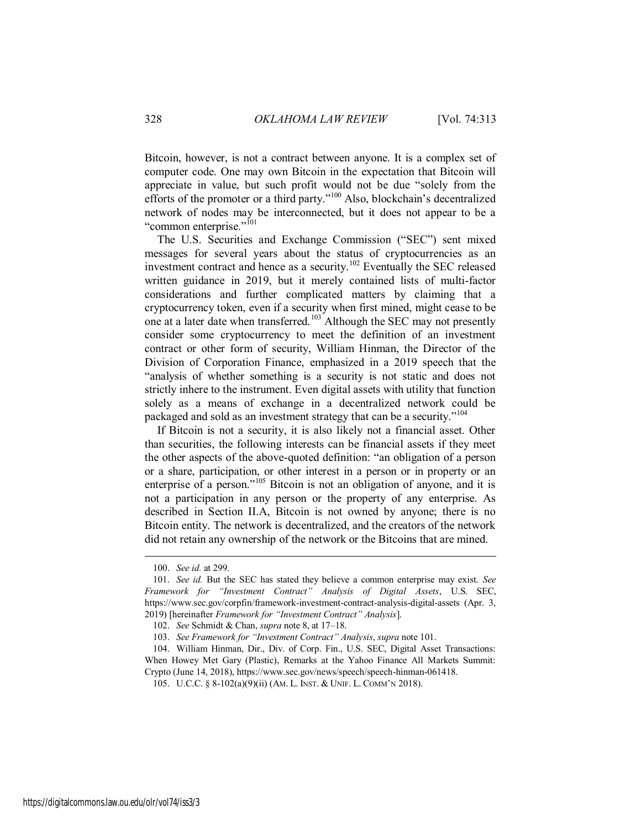Bitcoin, however, is not a contract between anyone. It is a complex set of computer code. One may own Bitcoin in the expectation that Bitcoin will appreciate in value, but such profit would not be due "solely from the efforts of the promoter or a third party."<sup>100</sup> Also, blockchain's decentralized network of nodes may be interconnected, but it does not appear to be a "common enterprise."<sup>101</sup>

The U.S. Securities and Exchange Commission ("SEC") sent mixed messages for several years about the status of cryptocurrencies as an investment contract and hence as a security.<sup>102</sup> Eventually the SEC released written guidance in 2019, but it merely contained lists of multi-factor considerations and further complicated matters by claiming that a cryptocurrency token, even if a security when first mined, might cease to be one at a later date when transferred.<sup>103</sup> Although the SEC may not presently consider some cryptocurrency to meet the definition of an investment contract or other form of security, William Hinman, the Director of the Division of Corporation Finance, emphasized in a 2019 speech that the "analysis of whether something is a security is not static and does not strictly inhere to the instrument. Even digital assets with utility that function solely as a means of exchange in a decentralized network could be packaged and sold as an investment strategy that can be a security."<sup>104</sup>

If Bitcoin is not a security, it is also likely not a financial asset. Other than securities, the following interests can be financial assets if they meet the other aspects of the above-quoted definition: "an obligation of a person or a share, participation, or other interest in a person or in property or an enterprise of a person."<sup>105</sup> Bitcoin is not an obligation of anyone, and it is not a participation in any person or the property of any enterprise. As described in Section II.A, Bitcoin is not owned by anyone; there is no Bitcoin entity. The network is decentralized, and the creators of the network did not retain any ownership of the network or the Bitcoins that are mined.

<sup>100.</sup> *See id.* at 299.

<sup>101.</sup> *See id.* But the SEC has stated they believe a common enterprise may exist. *See Framework for "Investment Contract" Analysis of Digital Assets*, U.S. SEC, https://www.sec.gov/corpfin/framework-investment-contract-analysis-digital-assets (Apr. 3, 2019) [hereinafter *Framework for "Investment Contract" Analysis*].

<sup>102.</sup> *See* Schmidt & Chan, *supra* note 8, at 17–18.

<sup>103.</sup> *See Framework for "Investment Contract" Analysis*, *supra* note 101.

<sup>104.</sup> William Hinman, Dir., Div. of Corp. Fin., U.S. SEC, Digital Asset Transactions: When Howey Met Gary (Plastic), Remarks at the Yahoo Finance All Markets Summit: Crypto (June 14, 2018), https://www.sec.gov/news/speech/speech-hinman-061418.

<sup>105.</sup> U.C.C. § 8-102(a)(9)(ii) (AM. L. INST. & UNIF. L. COMM'N 2018).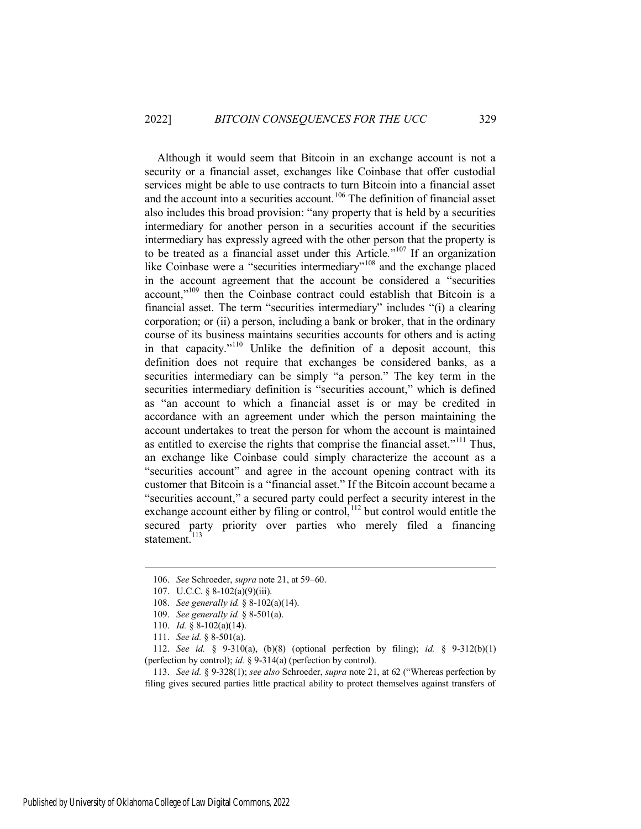Although it would seem that Bitcoin in an exchange account is not a security or a financial asset, exchanges like Coinbase that offer custodial services might be able to use contracts to turn Bitcoin into a financial asset and the account into a securities account.<sup>106</sup> The definition of financial asset also includes this broad provision: "any property that is held by a securities intermediary for another person in a securities account if the securities intermediary has expressly agreed with the other person that the property is to be treated as a financial asset under this Article.<sup> $107$ </sup> If an organization like Coinbase were a "securities intermediary"<sup>108</sup> and the exchange placed in the account agreement that the account be considered a "securities account,"<sup>109</sup> then the Coinbase contract could establish that Bitcoin is a financial asset. The term "securities intermediary" includes "(i) a clearing corporation; or (ii) a person, including a bank or broker, that in the ordinary course of its business maintains securities accounts for others and is acting in that capacity."<sup>110</sup> Unlike the definition of a deposit account, this definition does not require that exchanges be considered banks, as a securities intermediary can be simply "a person." The key term in the securities intermediary definition is "securities account," which is defined as "an account to which a financial asset is or may be credited in accordance with an agreement under which the person maintaining the account undertakes to treat the person for whom the account is maintained as entitled to exercise the rights that comprise the financial asset."<sup>111</sup> Thus, an exchange like Coinbase could simply characterize the account as a "securities account" and agree in the account opening contract with its customer that Bitcoin is a "financial asset." If the Bitcoin account became a "securities account," a secured party could perfect a security interest in the exchange account either by filing or control, $112$  but control would entitle the secured party priority over parties who merely filed a financing statement.<sup>113</sup>

<sup>106.</sup> *See* Schroeder, *supra* note 21, at 59–60.

<sup>107.</sup> U.C.C. § 8-102(a)(9)(iii).

<sup>108.</sup> *See generally id.* § 8-102(a)(14).

<sup>109.</sup> *See generally id.* § 8-501(a).

<sup>110.</sup> *Id.* § 8-102(a)(14).

<sup>111.</sup> *See id.* § 8-501(a).

<sup>112.</sup> *See id.* § 9-310(a), (b)(8) (optional perfection by filing); *id.* § 9-312(b)(1) (perfection by control); *id.* § 9-314(a) (perfection by control).

<sup>113.</sup> *See id.* § 9-328(1); *see also* Schroeder, *supra* note 21, at 62 ("Whereas perfection by filing gives secured parties little practical ability to protect themselves against transfers of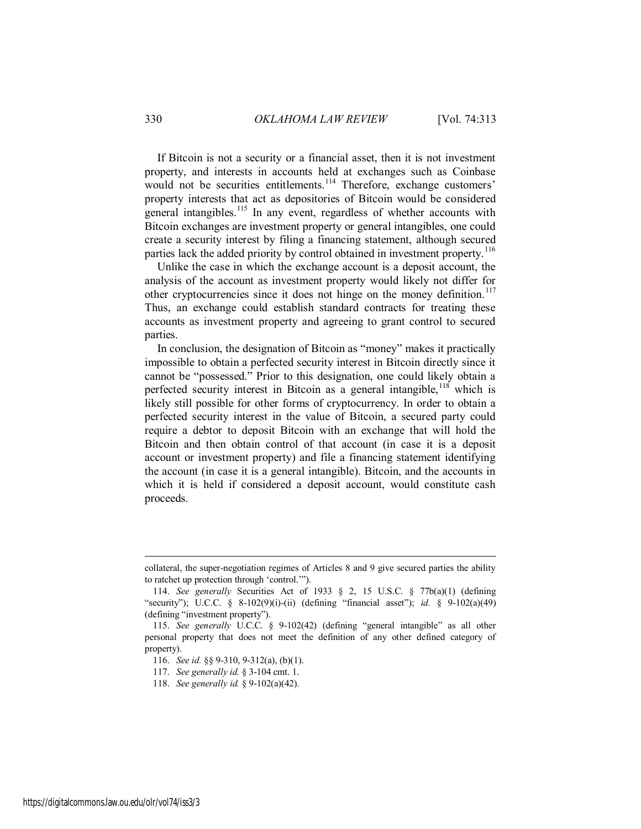If Bitcoin is not a security or a financial asset, then it is not investment property, and interests in accounts held at exchanges such as Coinbase would not be securities entitlements.<sup>114</sup> Therefore, exchange customers' property interests that act as depositories of Bitcoin would be considered general intangibles.<sup>115</sup> In any event, regardless of whether accounts with Bitcoin exchanges are investment property or general intangibles, one could create a security interest by filing a financing statement, although secured parties lack the added priority by control obtained in investment property.<sup>116</sup>

Unlike the case in which the exchange account is a deposit account, the analysis of the account as investment property would likely not differ for other cryptocurrencies since it does not hinge on the money definition.<sup>117</sup> Thus, an exchange could establish standard contracts for treating these accounts as investment property and agreeing to grant control to secured parties.

In conclusion, the designation of Bitcoin as "money" makes it practically impossible to obtain a perfected security interest in Bitcoin directly since it cannot be "possessed." Prior to this designation, one could likely obtain a perfected security interest in Bitcoin as a general intangible,  $118$  which is likely still possible for other forms of cryptocurrency. In order to obtain a perfected security interest in the value of Bitcoin, a secured party could require a debtor to deposit Bitcoin with an exchange that will hold the Bitcoin and then obtain control of that account (in case it is a deposit account or investment property) and file a financing statement identifying the account (in case it is a general intangible). Bitcoin, and the accounts in which it is held if considered a deposit account, would constitute cash proceeds.

<span id="page-18-0"></span>collateral, the super-negotiation regimes of Articles 8 and 9 give secured parties the ability to ratchet up protection through 'control.'").

<sup>114.</sup> *See generally* Securities Act of 1933 § 2, 15 U.S.C. § 77b(a)(1) (defining "security"); U.C.C. § 8-102(9)(i)-(ii) (defining "financial asset"); *id.* § 9-102(a)(49) (defining "investment property").

<sup>115.</sup> *See generally* U.C.C. § 9-102(42) (defining "general intangible" as all other personal property that does not meet the definition of any other defined category of property).

<sup>116.</sup> *See id.* §§ 9-310, 9-312(a), (b)(1).

<sup>117.</sup> *See generally id.* § 3-104 cmt. 1.

<sup>118.</sup> *See generally id.* § 9-102(a)(42).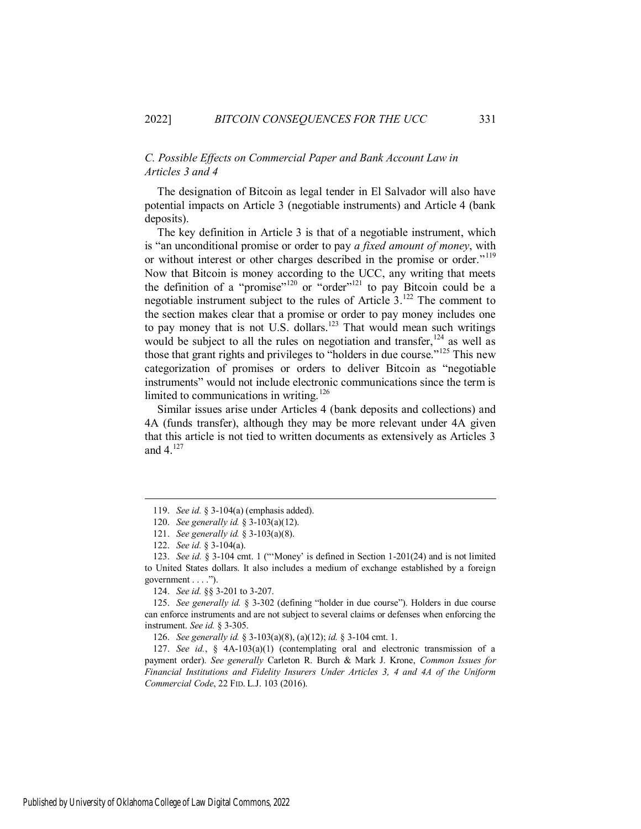#### *C. Possible Effects on Commercial Paper and Bank Account Law in Articles 3 and 4*

The designation of Bitcoin as legal tender in El Salvador will also have potential impacts on Article 3 (negotiable instruments) and Article 4 (bank deposits).

The key definition in Article 3 is that of a negotiable instrument, which is "an unconditional promise or order to pay *a fixed amount of money*, with or without interest or other charges described in the promise or order."<sup>119</sup> Now that Bitcoin is money according to the UCC, any writing that meets the definition of a "promise"<sup>120</sup> or "order"<sup>121</sup> to pay Bitcoin could be a negotiable instrument subject to the rules of Article 3.<sup>122</sup> The comment to the section makes clear that a promise or order to pay money includes one to pay money that is not U.S. dollars.<sup>123</sup> That would mean such writings would be subject to all the rules on negotiation and transfer,  $124$  as well as those that grant rights and privileges to "holders in due course."<sup>125</sup> This new categorization of promises or orders to deliver Bitcoin as "negotiable instruments" would not include electronic communications since the term is limited to communications in writing.<sup>126</sup>

Similar issues arise under Articles 4 (bank deposits and collections) and 4A (funds transfer), although they may be more relevant under 4A given that this article is not tied to written documents as extensively as Articles 3 and  $4.^{127}$ 

<sup>119.</sup> *See id.* § 3-104(a) (emphasis added).

<sup>120.</sup> *See generally id.* § 3-103(a)(12).

<sup>121.</sup> *See generally id.* § 3-103(a)(8).

<sup>122.</sup> *See id.* § 3-104(a).

<sup>123.</sup> *See id.* § 3-104 cmt. 1 ("'Money' is defined in Section 1-201(24) and is not limited to United States dollars. It also includes a medium of exchange established by a foreign government . . . .").

<sup>124.</sup> *See id.* §§ 3-201 to 3-207.

<sup>125.</sup> *See generally id.* § 3-302 (defining "holder in due course"). Holders in due course can enforce instruments and are not subject to several claims or defenses when enforcing the instrument. *See id.* § 3-305.

<sup>126.</sup> *See generally id.* § 3-103(a)(8), (a)(12); *id.* § 3-104 cmt. 1.

<sup>127.</sup> *See id.*, § 4A-103(a)(1) (contemplating oral and electronic transmission of a payment order). *See generally* Carleton R. Burch & Mark J. Krone, *Common Issues for Financial Institutions and Fidelity Insurers Under Articles 3, 4 and 4A of the Uniform Commercial Code*, 22 FID. L.J. 103 (2016).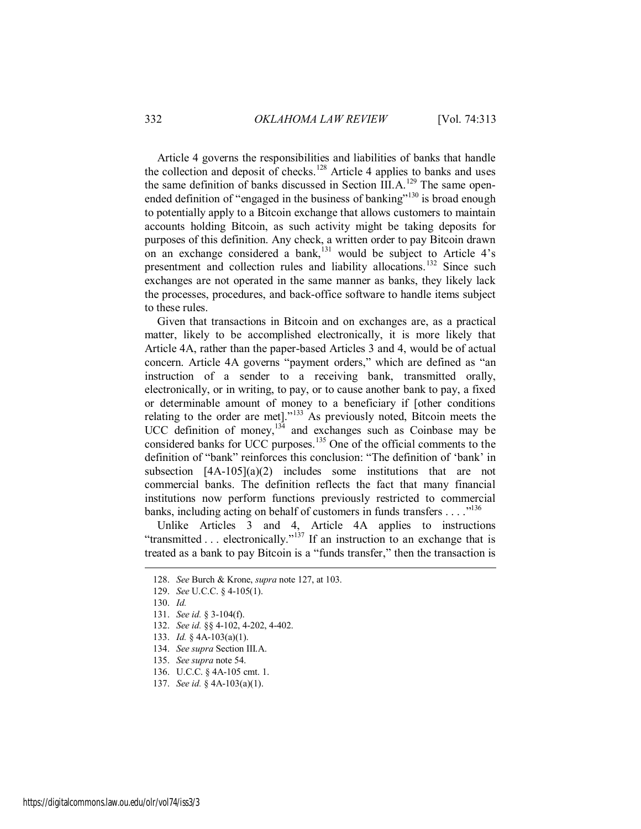Article 4 governs the responsibilities and liabilities of banks that handle the collection and deposit of checks.<sup>128</sup> Article 4 applies to banks and uses the same definition of banks discussed in Section  $\widehat{III}$ . A.<sup>129</sup> The same openended definition of "engaged in the business of banking"<sup>130</sup> is broad enough to potentially apply to a Bitcoin exchange that allows customers to maintain accounts holding Bitcoin, as such activity might be taking deposits for purposes of this definition. Any check, a written order to pay Bitcoin drawn on an exchange considered a bank,<sup>131</sup> would be subject to Article  $4's$ presentment and collection rules and liability allocations.<sup>132</sup> Since such exchanges are not operated in the same manner as banks, they likely lack the processes, procedures, and back-office software to handle items subject to these rules.

Given that transactions in Bitcoin and on exchanges are, as a practical matter, likely to be accomplished electronically, it is more likely that Article 4A, rather than the paper-based Articles 3 and 4, would be of actual concern. Article 4A governs "payment orders," which are defined as "an instruction of a sender to a receiving bank, transmitted orally, electronically, or in writing, to pay, or to cause another bank to pay, a fixed or determinable amount of money to a beneficiary if [other conditions relating to the order are met]."<sup>133</sup> As previously noted, Bitcoin meets the UCC definition of money, $134$  and exchanges such as Coinbase may be considered banks for UCC purposes.<sup>135</sup> One of the official comments to the definition of "bank" reinforces this conclusion: "The definition of 'bank' in subsection  $[4A-105](a)(2)$  includes some institutions that are not commercial banks. The definition reflects the fact that many financial institutions now perform functions previously restricted to commercial banks, including acting on behalf of customers in funds transfers . . . .  $\cdot$ <sup>136</sup>

Unlike Articles 3 and 4, Article 4A applies to instructions "transmitted  $\ldots$  electronically."<sup>137</sup> If an instruction to an exchange that is treated as a bank to pay Bitcoin is a "funds transfer," then the transaction is

<sup>128.</sup> *See* Burch & Krone, *supra* note 127, at 103.

<sup>129.</sup> *See* U.C.C. § 4-105(1).

<sup>130.</sup> *Id.* 

<sup>131.</sup> *See id.* § 3-104(f).

<sup>132.</sup> *See id.* §§ 4-102, 4-202, 4-402.

<sup>133.</sup> *Id.* § 4A-103(a)(1).

<sup>134.</sup> *See supra* Section III.A.

<sup>135.</sup> *See supra* note 54.

<sup>136.</sup> U.C.C. § 4A-105 cmt. 1.

<sup>137.</sup> *See id.* § 4A-103(a)(1).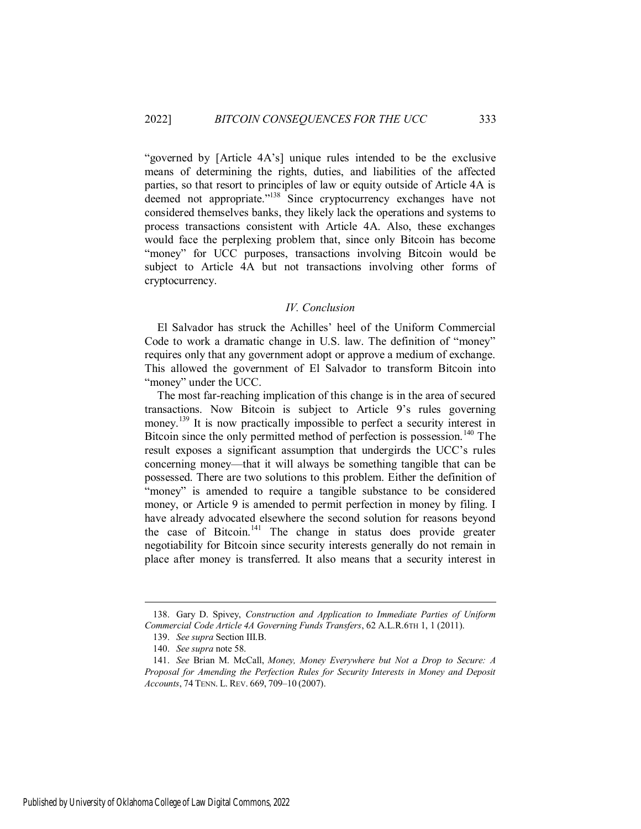"governed by [Article 4A's] unique rules intended to be the exclusive means of determining the rights, duties, and liabilities of the affected parties, so that resort to principles of law or equity outside of Article 4A is deemed not appropriate."<sup>138</sup> Since cryptocurrency exchanges have not considered themselves banks, they likely lack the operations and systems to process transactions consistent with Article 4A. Also, these exchanges would face the perplexing problem that, since only Bitcoin has become "money" for UCC purposes, transactions involving Bitcoin would be subject to Article 4A but not transactions involving other forms of cryptocurrency.

#### *IV. Conclusion*

<span id="page-21-0"></span>El Salvador has struck the Achilles' heel of the Uniform Commercial Code to work a dramatic change in U.S. law. The definition of "money" requires only that any government adopt or approve a medium of exchange. This allowed the government of El Salvador to transform Bitcoin into "money" under the UCC.

The most far-reaching implication of this change is in the area of secured transactions. Now Bitcoin is subject to Article 9's rules governing money.<sup>139</sup> It is now practically impossible to perfect a security interest in Bitcoin since the only permitted method of perfection is possession.<sup>140</sup> The result exposes a significant assumption that undergirds the UCC's rules concerning money—that it will always be something tangible that can be possessed. There are two solutions to this problem. Either the definition of "money" is amended to require a tangible substance to be considered money, or Article 9 is amended to permit perfection in money by filing. I have already advocated elsewhere the second solution for reasons beyond the case of Bitcoin.<sup>141</sup> The change in status does provide greater negotiability for Bitcoin since security interests generally do not remain in place after money is transferred. It also means that a security interest in

<sup>138.</sup> Gary D. Spivey, *Construction and Application to Immediate Parties of Uniform Commercial Code Article 4A Governing Funds Transfers*, 62 A.L.R.6TH 1, 1 (2011).

<sup>139.</sup> *See supra* Section III.B.

<sup>140.</sup> *See supra* note 58.

<sup>141.</sup> *See* Brian M. McCall, *Money, Money Everywhere but Not a Drop to Secure: A Proposal for Amending the Perfection Rules for Security Interests in Money and Deposit Accounts*, 74 TENN. L. REV. 669, 709–10 (2007).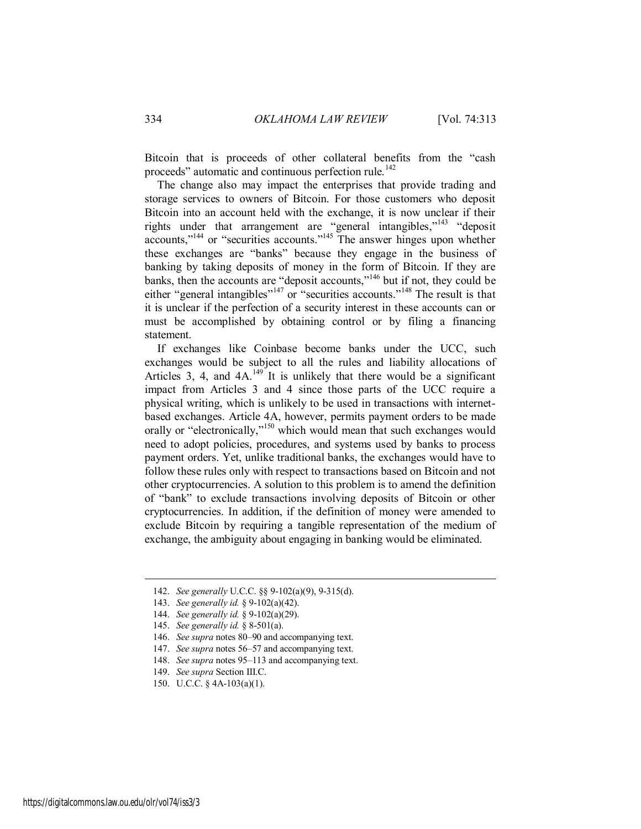Bitcoin that is proceeds of other collateral benefits from the "cash proceeds" automatic and continuous perfection rule.<sup>142</sup>

The change also may impact the enterprises that provide trading and storage services to owners of Bitcoin. For those customers who deposit Bitcoin into an account held with the exchange, it is now unclear if their rights under that arrangement are "general intangibles,"<sup>143</sup> "deposit accounts,"<sup>144</sup> or "securities accounts."<sup>145</sup> The answer hinges upon whether these exchanges are "banks" because they engage in the business of banking by taking deposits of money in the form of Bitcoin. If they are banks, then the accounts are "deposit accounts,"<sup>146</sup> but if not, they could be either "general intangibles"<sup>147</sup> or "securities accounts."<sup>148</sup> The result is that it is unclear if the perfection of a security interest in these accounts can or must be accomplished by obtaining control or by filing a financing statement.

If exchanges like Coinbase become banks under the UCC, such exchanges would be subject to all the rules and liability allocations of Articles 3, 4, and  $4A^{149}$  It is unlikely that there would be a significant impact from Articles 3 and 4 since those parts of the UCC require a physical writing, which is unlikely to be used in transactions with internetbased exchanges. Article 4A, however, permits payment orders to be made orally or "electronically,"<sup>150</sup> which would mean that such exchanges would need to adopt policies, procedures, and systems used by banks to process payment orders. Yet, unlike traditional banks, the exchanges would have to follow these rules only with respect to transactions based on Bitcoin and not other cryptocurrencies. A solution to this problem is to amend the definition of "bank" to exclude transactions involving deposits of Bitcoin or other cryptocurrencies. In addition, if the definition of money were amended to exclude Bitcoin by requiring a tangible representation of the medium of exchange, the ambiguity about engaging in banking would be eliminated.

<sup>142.</sup> *See generally* U.C.C. §§ 9-102(a)(9), 9-315(d).

<sup>143.</sup> *See generally id.* § 9-102(a)(42).

<sup>144.</sup> *See generally id.* § 9-102(a)(29).

<sup>145.</sup> *See generally id.* § 8-501(a).

<sup>146.</sup> *See supra* notes 80–90 and accompanying text.

<sup>147.</sup> *See supra* notes 56–57 and accompanying text.

<sup>148.</sup> *See supra* notes 95–113 and accompanying text.

<sup>149.</sup> *See supra* Section III.C.

<sup>150.</sup> U.C.C. § 4A-103(a)(1).